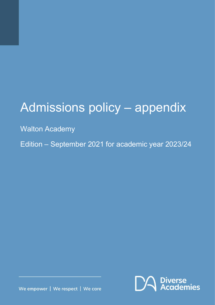# Admissions policy – appendix

## Walton Academy

Edition – September 2021 for academic year 2023/24



We empower | We respect | We care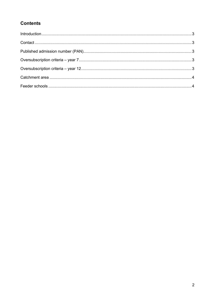### **Contents**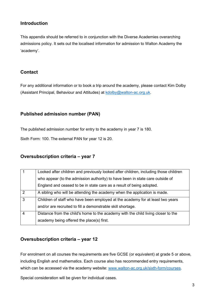#### <span id="page-2-0"></span>**Introduction**

This appendix should be referred to in conjunction with the Diverse Academies overarching admissions policy. It sets out the localised information for admission to Walton Academy the 'academy'.

#### <span id="page-2-1"></span>**Contact**

For any additional information or to book a trip around the academy, please contact Kim Dolby (Assistant Principal, Behaviour and Attitudes) at [kdolby@walton-ac.org.uk.](mailto:kdolby@walton-ac.org.uk)

#### <span id="page-2-2"></span>**Published admission number (PAN)**

The published admission number for entry to the academy in year 7 is 180.

Sixth Form: 100. The external PAN for year 12 is 20.

#### <span id="page-2-3"></span>**Oversubscription criteria – year 7**

|                | Looked after children and previously looked after children, including those children |
|----------------|--------------------------------------------------------------------------------------|
|                | who appear (to the admission authority) to have been in state care outside of        |
|                | England and ceased to be in state care as a result of being adopted.                 |
| $\overline{2}$ | A sibling who will be attending the academy when the application is made.            |
| 3              | Children of staff who have been employed at the academy for at least two years       |
|                | and/or are recruited to fill a demonstrable skill shortage.                          |
| $\overline{4}$ | Distance from the child's home to the academy with the child living closer to the    |
|                | academy being offered the place(s) first.                                            |

#### <span id="page-2-4"></span>**Oversubscription criteria – year 12**

For enrolment on all courses the requirements are five GCSE (or equivalent) at grade 5 or above, including English and mathematics. Each course also has recommended entry requirements, which can be accessed via the academy website: [www.walton-ac.org.uk/sixth-form/courses.](http://www.walton-ac.org.uk/sixth-form/courses)

Special consideration will be given for individual cases.